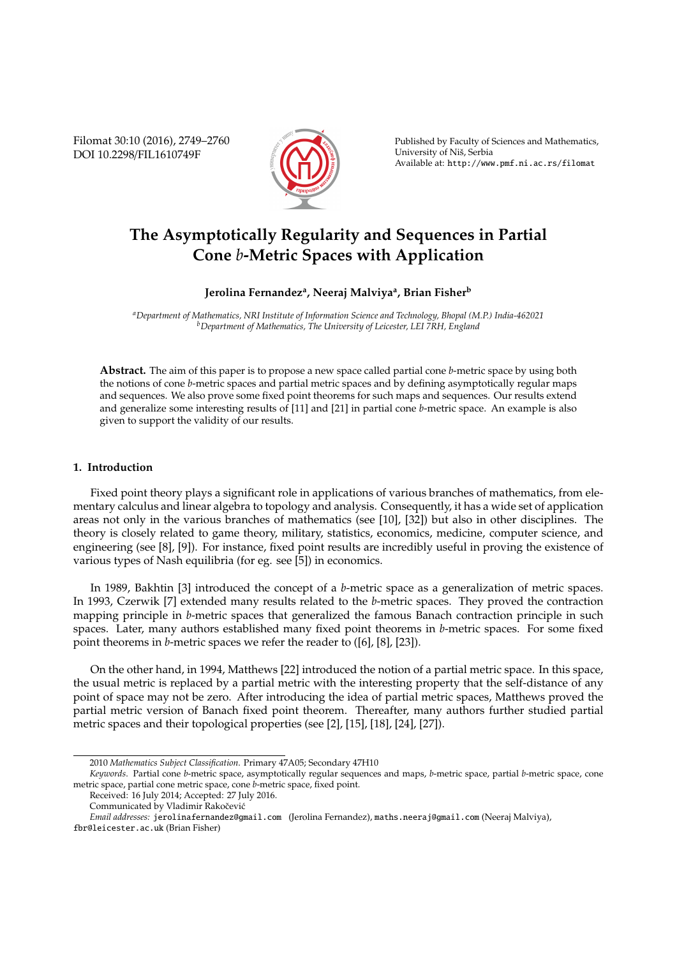Filomat 30:10 (2016), 2749–2760 DOI 10.2298/FIL1610749F



Published by Faculty of Sciences and Mathematics, University of Nis, Serbia ˇ Available at: http://www.pmf.ni.ac.rs/filomat

# **The Asymptotically Regularity and Sequences in Partial Cone** *b***-Metric Spaces with Application**

## **Jerolina Fernandez<sup>a</sup> , Neeraj Malviya<sup>a</sup> , Brian Fisher<sup>b</sup>**

*<sup>a</sup>Department of Mathematics, NRI Institute of Information Science and Technology, Bhopal (M.P.) India-462021 <sup>b</sup>Department of Mathematics, The University of Leicester, LEI 7RH, England*

**Abstract.** The aim of this paper is to propose a new space called partial cone *b*-metric space by using both the notions of cone *b*-metric spaces and partial metric spaces and by defining asymptotically regular maps and sequences. We also prove some fixed point theorems for such maps and sequences. Our results extend and generalize some interesting results of [11] and [21] in partial cone *b*-metric space. An example is also given to support the validity of our results.

## **1. Introduction**

Fixed point theory plays a significant role in applications of various branches of mathematics, from elementary calculus and linear algebra to topology and analysis. Consequently, it has a wide set of application areas not only in the various branches of mathematics (see [10], [32]) but also in other disciplines. The theory is closely related to game theory, military, statistics, economics, medicine, computer science, and engineering (see [8], [9]). For instance, fixed point results are incredibly useful in proving the existence of various types of Nash equilibria (for eg. see [5]) in economics.

In 1989, Bakhtin [3] introduced the concept of a *b*-metric space as a generalization of metric spaces. In 1993, Czerwik [7] extended many results related to the *b*-metric spaces. They proved the contraction mapping principle in *b*-metric spaces that generalized the famous Banach contraction principle in such spaces. Later, many authors established many fixed point theorems in *b*-metric spaces. For some fixed point theorems in *b*-metric spaces we refer the reader to ([6], [8], [23]).

On the other hand, in 1994, Matthews [22] introduced the notion of a partial metric space. In this space, the usual metric is replaced by a partial metric with the interesting property that the self-distance of any point of space may not be zero. After introducing the idea of partial metric spaces, Matthews proved the partial metric version of Banach fixed point theorem. Thereafter, many authors further studied partial metric spaces and their topological properties (see [2], [15], [18], [24], [27]).

<sup>2010</sup> *Mathematics Subject Classification*. Primary 47A05; Secondary 47H10

*Keywords*. Partial cone *b*-metric space, asymptotically regular sequences and maps, *b*-metric space, partial *b*-metric space, cone metric space, partial cone metric space, cone *b*-metric space, fixed point.

Received: 16 July 2014; Accepted: 27 July 2016.

Communicated by Vladimir Rakočević

*Email addresses:* jerolinafernandez@gmail.com (Jerolina Fernandez), maths.neeraj@gmail.com (Neeraj Malviya), fbr@leicester.ac.uk (Brian Fisher)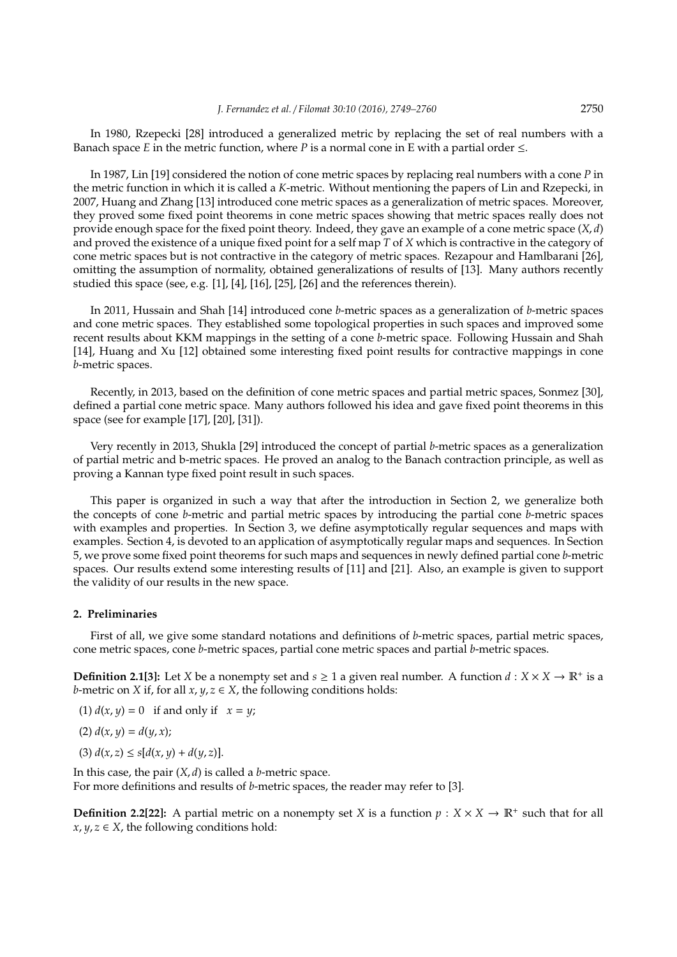In 1980, Rzepecki [28] introduced a generalized metric by replacing the set of real numbers with a Banach space *E* in the metric function, where *P* is a normal cone in E with a partial order  $\leq$ .

In 1987, Lin [19] considered the notion of cone metric spaces by replacing real numbers with a cone *P* in the metric function in which it is called a *K*-metric. Without mentioning the papers of Lin and Rzepecki, in 2007, Huang and Zhang [13] introduced cone metric spaces as a generalization of metric spaces. Moreover, they proved some fixed point theorems in cone metric spaces showing that metric spaces really does not provide enough space for the fixed point theory. Indeed, they gave an example of a cone metric space (*X*, *d*) and proved the existence of a unique fixed point for a self map *T* of *X* which is contractive in the category of cone metric spaces but is not contractive in the category of metric spaces. Rezapour and Hamlbarani [26], omitting the assumption of normality, obtained generalizations of results of [13]. Many authors recently studied this space (see, e.g. [1], [4], [16], [25], [26] and the references therein).

In 2011, Hussain and Shah [14] introduced cone *b*-metric spaces as a generalization of *b*-metric spaces and cone metric spaces. They established some topological properties in such spaces and improved some recent results about KKM mappings in the setting of a cone *b*-metric space. Following Hussain and Shah [14], Huang and Xu [12] obtained some interesting fixed point results for contractive mappings in cone *b*-metric spaces.

Recently, in 2013, based on the definition of cone metric spaces and partial metric spaces, Sonmez [30], defined a partial cone metric space. Many authors followed his idea and gave fixed point theorems in this space (see for example [17], [20], [31]).

Very recently in 2013, Shukla [29] introduced the concept of partial *b*-metric spaces as a generalization of partial metric and b-metric spaces. He proved an analog to the Banach contraction principle, as well as proving a Kannan type fixed point result in such spaces.

This paper is organized in such a way that after the introduction in Section 2, we generalize both the concepts of cone *b*-metric and partial metric spaces by introducing the partial cone *b*-metric spaces with examples and properties. In Section 3, we define asymptotically regular sequences and maps with examples. Section 4, is devoted to an application of asymptotically regular maps and sequences. In Section 5, we prove some fixed point theorems for such maps and sequences in newly defined partial cone *b*-metric spaces. Our results extend some interesting results of [11] and [21]. Also, an example is given to support the validity of our results in the new space.

## **2. Preliminaries**

First of all, we give some standard notations and definitions of *b*-metric spaces, partial metric spaces, cone metric spaces, cone *b*-metric spaces, partial cone metric spaces and partial *b*-metric spaces.

**Definition 2.1[3]:** Let *X* be a nonempty set and  $s \ge 1$  a given real number. A function  $d : X \times X \to \mathbb{R}^+$  is a *b*-metric on *X* if, for all  $x, y, z \in X$ , the following conditions holds:

(1)  $d(x, y) = 0$  if and only if  $x = y$ ;

$$
(2) d(x, y) = d(y, x);
$$

(3)  $d(x, z) \leq s[d(x, y) + d(y, z)].$ 

In this case, the pair (*X*, *d*) is called a *b*-metric space. For more definitions and results of *b*-metric spaces, the reader may refer to [3].

**Definition 2.2[22]:** A partial metric on a nonempty set *X* is a function  $p: X \times X \to \mathbb{R}^+$  such that for all  $x, y, z \in X$ , the following conditions hold: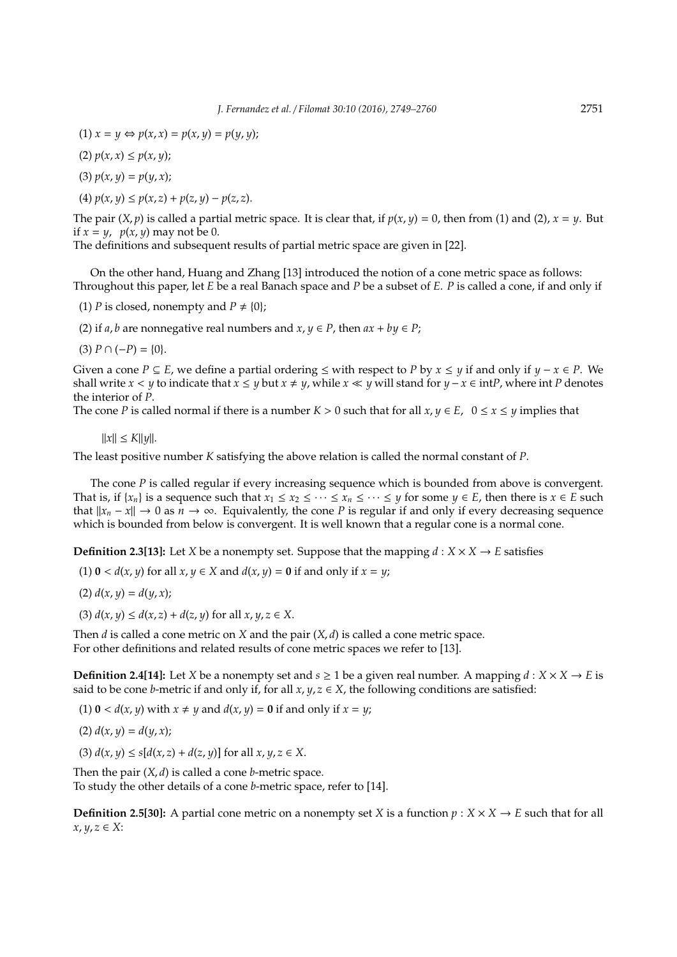- (1)  $x = y \Leftrightarrow p(x, x) = p(x, y) = p(y, y);$
- (2) *p*(*x*, *x*) ≤ *p*(*x*, *y*);
- (3)  $p(x, y) = p(y, x)$ ;
- $P(x, y) \leq p(x, z) + p(z, y) p(z, z).$

The pair  $(X, p)$  is called a partial metric space. It is clear that, if  $p(x, y) = 0$ , then from (1) and (2),  $x = y$ . But if  $x = y$ ,  $p(x, y)$  may not be 0.

The definitions and subsequent results of partial metric space are given in [22].

On the other hand, Huang and Zhang [13] introduced the notion of a cone metric space as follows: Throughout this paper, let *E* be a real Banach space and *P* be a subset of *E*. *P* is called a cone, if and only if

- (1) *P* is closed, nonempty and  $P \neq \{0\}$ ;
- (2) if *a*, *b* are nonnegative real numbers and  $x, y \in P$ , then  $ax + by \in P$ ;
- $(3)$   $P \cap (-P) = \{0\}.$

Given a cone *P* ⊂ *E*, we define a partial ordering < with respect to *P* by  $x \leq y$  if and only if  $y - x \in P$ . We shall write *x* < *y* to indicate that *x* ≤ *y* but *x* ≠ *y*, while *x* ≪ *y* will stand for *y* − *x* ∈ int*P*, where int *P* denotes the interior of *P*.

The cone *P* is called normal if there is a number  $K > 0$  such that for all  $x, y \in E$ ,  $0 \le x \le y$  implies that

 $||x|| \le K||y||.$ 

The least positive number *K* satisfying the above relation is called the normal constant of *P*.

The cone *P* is called regular if every increasing sequence which is bounded from above is convergent. That is, if  $\{x_n\}$  is a sequence such that  $x_1 \le x_2 \le \cdots \le x_n \le \cdots \le y$  for some  $y \in E$ , then there is  $x \in E$  such that  $||x_n - x||$  → 0 as  $n \to \infty$ . Equivalently, the cone *P* is regular if and only if every decreasing sequence which is bounded from below is convergent. It is well known that a regular cone is a normal cone.

**Definition 2.3[13]:** Let *X* be a nonempty set. Suppose that the mapping  $d : X \times X \rightarrow E$  satisfies

(1)  $0 < d(x, y)$  for all  $x, y \in X$  and  $d(x, y) = 0$  if and only if  $x = y$ ;

$$
(2) d(x, y) = d(y, x);
$$

(3)  $d(x, y) \leq d(x, z) + d(z, y)$  for all  $x, y, z \in X$ .

Then *d* is called a cone metric on *X* and the pair (*X*, *d*) is called a cone metric space. For other definitions and related results of cone metric spaces we refer to [13].

**Definition 2.4[14]:** Let *X* be a nonempty set and  $s \ge 1$  be a given real number. A mapping  $d : X \times X \rightarrow E$  is said to be cone *b*-metric if and only if, for all  $x, y, z \in X$ , the following conditions are satisfied:

- (1)  $0 < d(x, y)$  with  $x \neq y$  and  $d(x, y) = 0$  if and only if  $x = y$ ;
- (2)  $d(x, y) = d(y, x)$ ;
- (3)  $d(x, y) \le s[d(x, z) + d(z, y)]$  for all  $x, y, z \in X$ .

Then the pair (*X*, *d*) is called a cone *b*-metric space. To study the other details of a cone *b*-metric space, refer to [14].

**Definition 2.5[30]:** A partial cone metric on a nonempty set *X* is a function  $p : X \times X \rightarrow E$  such that for all *x*, *y*, *z* ∈ *X*: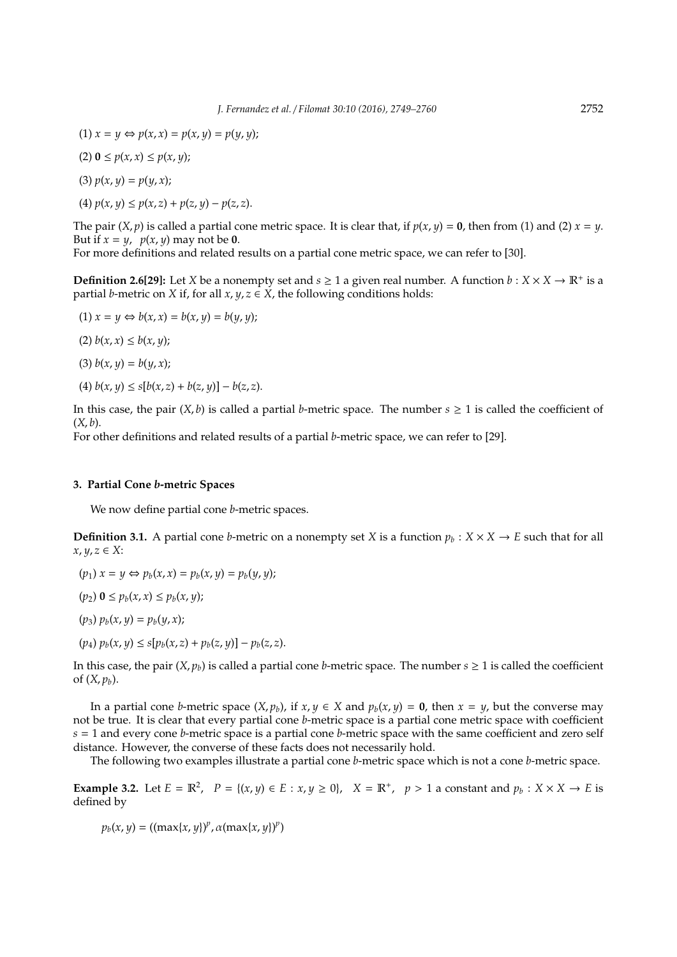(1)  $x = y \Leftrightarrow p(x, x) = p(x, y) = p(y, y);$ (2) **0** ≤ *p*(*x*, *x*) ≤ *p*(*x*, *y*); (3)  $p(x, y) = p(y, x)$ ;  $p(x, y) \leq p(x, z) + p(z, y) - p(z, z).$ 

The pair  $(X, p)$  is called a partial cone metric space. It is clear that, if  $p(x, y) = 0$ , then from (1) and (2)  $x = y$ . But if  $x = y$ ,  $p(x, y)$  may not be **0**.

For more definitions and related results on a partial cone metric space, we can refer to [30].

**Definition 2.6[29]:** Let *X* be a nonempty set and  $s \ge 1$  a given real number. A function  $b: X \times X \to \mathbb{R}^+$  is a partial *b*-metric on *X* if, for all  $x, y, z \in X$ , the following conditions holds:

- (1)  $x = y \Leftrightarrow b(x, x) = b(x, y) = b(y, y);$
- (2)  $b(x, x) \leq b(x, y)$ ;
- (3)  $b(x, y) = b(y, x)$ ;
- (4)  $b(x, y) \le s[b(x, z) + b(z, y)] b(z, z).$

In this case, the pair  $(X, b)$  is called a partial *b*-metric space. The number  $s \ge 1$  is called the coefficient of  $(X, b)$ .

For other definitions and related results of a partial *b*-metric space, we can refer to [29].

#### **3. Partial Cone** *b***-metric Spaces**

We now define partial cone *b*-metric spaces.

**Definition 3.1.** A partial cone *b*-metric on a nonempty set *X* is a function  $p_b$ :  $X \times X \rightarrow E$  such that for all *x*, *y*, *z* ∈ *X*:

- $(p_1) x = y \Leftrightarrow p_b(x, x) = p_b(x, y) = p_b(y, y);$
- $(p_2)$   $\mathbf{0} \leq p_b(x, x) \leq p_b(x, y)$ ;
- $(p_3)$   $p_b(x, y) = p_b(y, x)$ ;
- $(p_4)$   $p_b(x, y) \leq s[p_b(x, z) + p_b(z, y)] p_b(z, z).$

In this case, the pair  $(X, p_h)$  is called a partial cone *b*-metric space. The number  $s \ge 1$  is called the coefficient of  $(X, p_h)$ .

In a partial cone *b*-metric space  $(X, p_b)$ , if  $x, y \in X$  and  $p_b(x, y) = 0$ , then  $x = y$ , but the converse may not be true. It is clear that every partial cone *b*-metric space is a partial cone metric space with coefficient *s* = 1 and every cone *b*-metric space is a partial cone *b*-metric space with the same coefficient and zero self distance. However, the converse of these facts does not necessarily hold.

The following two examples illustrate a partial cone *b*-metric space which is not a cone *b*-metric space.

**Example 3.2.** Let  $E = \mathbb{R}^2$ ,  $P = \{(x, y) \in E : x, y \ge 0\}$ ,  $X = \mathbb{R}^+$ ,  $p > 1$  a constant and  $p_b : X \times X \to E$  is defined by

 $p_b(x, y) = ((\max\{x, y\})^p, \alpha(\max\{x, y\})^p)$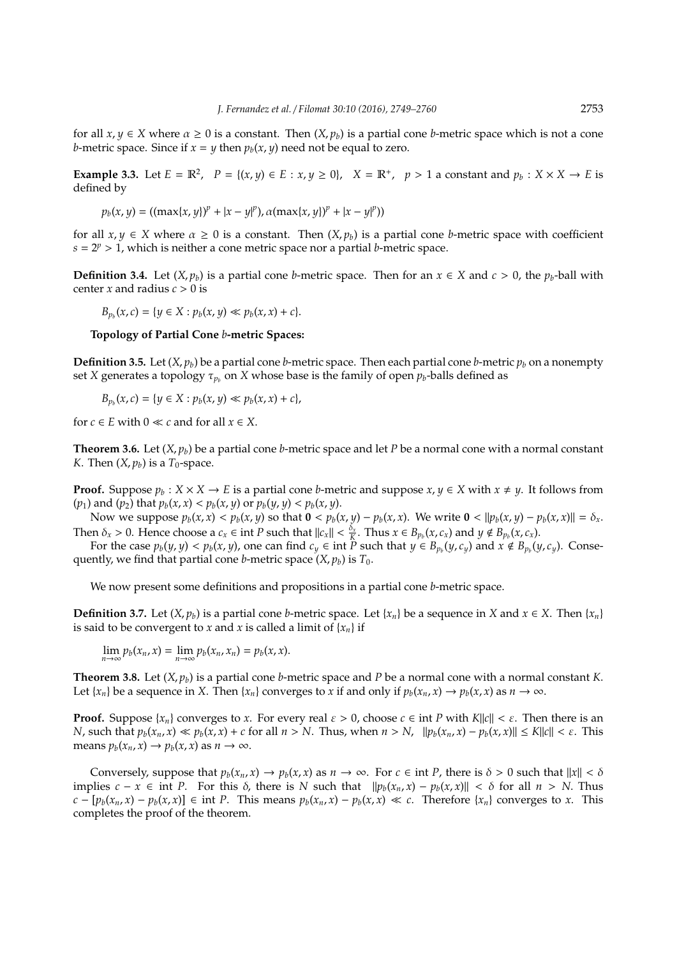for all  $x, y \in X$  where  $\alpha \ge 0$  is a constant. Then  $(X, p_h)$  is a partial cone *b*-metric space which is not a cone *b*-metric space. Since if  $x = y$  then  $p_b(x, y)$  need not be equal to zero.

**Example 3.3.** Let  $E = \mathbb{R}^2$ ,  $P = \{(x, y) \in E : x, y \ge 0\}$ ,  $X = \mathbb{R}^+$ ,  $p > 1$  a constant and  $p_b : X \times X \to E$  is defined by

 $p_b(x, y) = ((\max\{x, y\})^p + |x - y|^p), \alpha(\max\{x, y\})^p + |x - y|^p)$ 

for all  $x, y \in X$  where  $\alpha \ge 0$  is a constant. Then  $(X, p_b)$  is a partial cone *b*-metric space with coefficient  $s = 2^p > 1$ , which is neither a cone metric space nor a partial *b*-metric space.

**Definition 3.4.** Let  $(X, p_b)$  is a partial cone *b*-metric space. Then for an  $x \in X$  and  $c > 0$ , the  $p_b$ -ball with center *x* and radius  $c > 0$  is

 $B_{p_b}(x, c) = \{y \in X : p_b(x, y) \ll p_b(x, x) + c\}.$ 

#### **Topology of Partial Cone** *b***-metric Spaces:**

**Definition 3.5.** Let  $(X, p_b)$  be a partial cone *b*-metric space. Then each partial cone *b*-metric  $p_b$  on a nonempty set *X* generates a topology  $\tau_{p_b}$  on *X* whose base is the family of open  $p_b$ -balls defined as

$$
B_{p_b}(x, c) = \{ y \in X : p_b(x, y) \ll p_b(x, x) + c \},
$$

for  $c \in E$  with  $0 \ll c$  and for all  $x \in X$ .

**Theorem 3.6.** Let  $(X, p_h)$  be a partial cone *b*-metric space and let *P* be a normal cone with a normal constant *K*. Then  $(X, p_b)$  is a  $T_0$ -space.

**Proof.** Suppose  $p_b: X \times X \to E$  is a partial cone *b*-metric and suppose  $x, y \in X$  with  $x \neq y$ . It follows from (*p*<sub>1</sub>) and (*p*<sub>2</sub>) that  $p_b(x, x) < p_b(x, y)$  or  $p_b(y, y) < p_b(x, y)$ .

Now we suppose  $p_b(x, x) < p_b(x, y)$  so that  $0 < p_b(x, y) - p_b(x, x)$ . We write  $0 < ||p_b(x, y) - p_b(x, x)|| = \delta_x$ . Then  $\delta_x > 0$ . Hence choose a  $c_x \in \text{int } P$  such that  $||c_x|| < \frac{\delta_x}{K}$ . Thus  $x \in B_{p_b}(x, c_x)$  and  $y \notin B_{p_b}(x, c_x)$ .

For the case  $p_b(y, y) < p_b(x, y)$ , one can find  $c_y \in \text{int } P$  such that  $y \in B_{p_b}(y, c_y)$  and  $x \notin B_{p_b}(y, c_y)$ . Consequently, we find that partial cone *b*-metric space  $(X, p_b)$  is  $T_0$ .

We now present some definitions and propositions in a partial cone *b*-metric space.

**Definition 3.7.** Let  $(X, p_b)$  is a partial cone *b*-metric space. Let  $\{x_n\}$  be a sequence in *X* and  $x \in X$ . Then  $\{x_n\}$ is said to be convergent to *x* and *x* is called a limit of  $\{x_n\}$  if

 $\lim_{n\to\infty} p_b(x_n, x) = \lim_{n\to\infty} p_b(x_n, x_n) = p_b(x, x).$ 

**Theorem 3.8.** Let  $(X, p_b)$  is a partial cone *b*-metric space and *P* be a normal cone with a normal constant *K*. Let  $\{x_n\}$  be a sequence in X. Then  $\{x_n\}$  converges to x if and only if  $p_b(x_n, x) \to p_b(x, x)$  as  $n \to \infty$ .

**Proof.** Suppose  $\{x_n\}$  converges to *x*. For every real  $\varepsilon > 0$ , choose  $c \in \text{int } P$  with  $K||c|| < \varepsilon$ . Then there is an *N*, such that  $p_b(x_n, x) \ll p_b(x, x) + c$  for all  $n > N$ . Thus, when  $n > N$ ,  $||p_b(x_n, x) - p_b(x, x)|| \le K||c|| < \varepsilon$ . This means  $p_b(x_n, x) \rightarrow p_b(x, x)$  as  $n \rightarrow \infty$ .

Conversely, suppose that  $p_b(x_n, x) \to p_b(x, x)$  as  $n \to \infty$ . For  $c \in \text{int } P$ , there is  $\delta > 0$  such that  $||x|| < \delta$ implies  $c - x \in \text{int } P$ . For this  $\delta$ , there is *N* such that  $||p_b(x_n, x) - p_b(x, x)|| < \delta$  for all  $n > N$ . Thus  $c - [p_b(x_n, x) - p_b(x, x)] \in \text{int } P$ . This means  $p_b(x_n, x) - p_b(x, x) \ll c$ . Therefore  $\{x_n\}$  converges to x. This completes the proof of the theorem.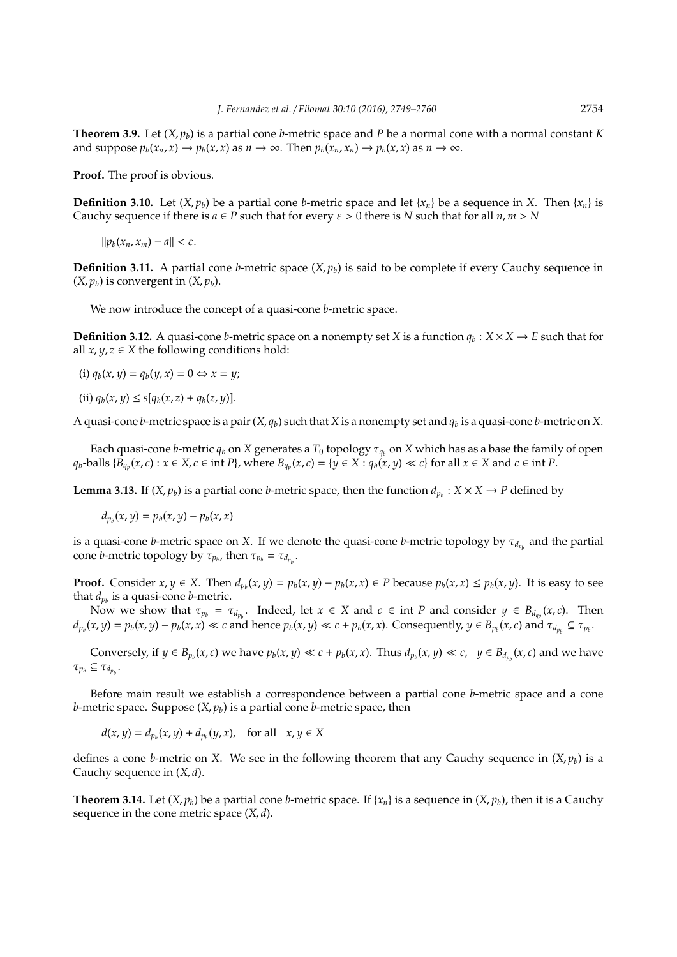**Theorem 3.9.** Let  $(X, p_h)$  is a partial cone *b*-metric space and *P* be a normal cone with a normal constant *K* and suppose  $p_b(x_n, x) \to p_b(x, x)$  as  $n \to \infty$ . Then  $p_b(x_n, x_n) \to p_b(x, x)$  as  $n \to \infty$ .

**Proof.** The proof is obvious.

**Definition 3.10.** Let  $(X, p_b)$  be a partial cone *b*-metric space and let  $\{x_n\}$  be a sequence in *X*. Then  $\{x_n\}$  is Cauchy sequence if there is  $a \in P$  such that for every  $\varepsilon > 0$  there is *N* such that for all  $n, m > N$ 

 $||p_b(x_n, x_m) - a|| < \varepsilon.$ 

**Definition 3.11.** A partial cone *b*-metric space  $(X, p_h)$  is said to be complete if every Cauchy sequence in  $(X, p_b)$  is convergent in  $(X, p_b)$ .

We now introduce the concept of a quasi-cone *b*-metric space.

**Definition 3.12.** A quasi-cone *b*-metric space on a nonempty set *X* is a function  $q_b$ :  $X \times X \rightarrow E$  such that for all  $x, y, z \in X$  the following conditions hold:

(i)  $q_b(x, y) = q_b(y, x) = 0 \Leftrightarrow x = y;$ 

(ii)  $q_b(x, y) \leq s[q_b(x, z) + q_b(z, y)].$ 

A quasi-cone *b*-metric space is a pair  $(X, q_h)$  such that *X* is a nonempty set and  $q_h$  is a quasi-cone *b*-metric on *X*.

Each quasi-cone *b*-metric  $q_b$  on *X* generates a  $T_0$  topology  $\tau_{q_b}$  on *X* which has as a base the family of open  $q_b$ -balls  $\{\hat{B}_{q_p}(x,c): x \in X, c \in \text{int } P\}$ , where  $B_{q_p}(x,c) = \{y \in X : q_b(x,y) \ll c\}$  for all  $x \in X$  and  $c \in \text{int } P$ .

**Lemma 3.13.** If  $(X, p_b)$  is a partial cone *b*-metric space, then the function  $d_{p_b}: X \times X \to P$  defined by

 $d_{p_b}(x, y) = p_b(x, y) - p_b(x, x)$ 

is a quasi-cone *b*-metric space on *X*. If we denote the quasi-cone *b*-metric topology by  $\tau_{d_{p_b}}$  and the partial cone *b*-metric topology by  $\tau_{p_b}$ , then  $\tau_{p_b} = \tau_{d_{p_b}}$ .

**Proof.** Consider  $x, y \in X$ . Then  $d_{p_b}(x, y) = p_b(x, y) - p_b(x, x) \in P$  because  $p_b(x, x) \le p_b(x, y)$ . It is easy to see that  $d_{p_b}$  is a quasi-cone *b*-metric.

Now we show that  $\tau_{p_b} = \tau_{d_{p_b}}$ . Indeed, let  $x \in X$  and  $c \in \text{int } P$  and consider  $y \in B_{d_{q_p}}(x, c)$ . Then  $d_{p_b}(x, y) = p_b(x, y) - p_b(x, x) \ll c$  and hence  $p_b(x, y) \ll c + p_b(x, x)$ . Consequently,  $y \in B_{p_b}(x, c)$  and  $\tau_{d_{p_b}} \subseteq \tau_{p_b}$ .

Conversely, if  $y \in B_{p_b}(x, c)$  we have  $p_b(x, y) \ll c + p_b(x, x)$ . Thus  $d_{p_b}(x, y) \ll c$ ,  $y \in B_{d_{p_b}}(x, c)$  and we have  $\tau_{p_b} \subseteq \tau_{d_{p_b}}$ .

Before main result we establish a correspondence between a partial cone *b*-metric space and a cone *b*-metric space. Suppose  $(X, p_b)$  is a partial cone *b*-metric space, then

$$
d(x, y) = d_{p_b}(x, y) + d_{p_b}(y, x), \text{ for all } x, y \in X
$$

defines a cone *b*-metric on *X*. We see in the following theorem that any Cauchy sequence in  $(X, p_b)$  is a Cauchy sequence in (*X*, *d*).

**Theorem 3.14.** Let  $(X, p_b)$  be a partial cone *b*-metric space. If  $\{x_n\}$  is a sequence in  $(X, p_b)$ , then it is a Cauchy sequence in the cone metric space (*X*, *d*).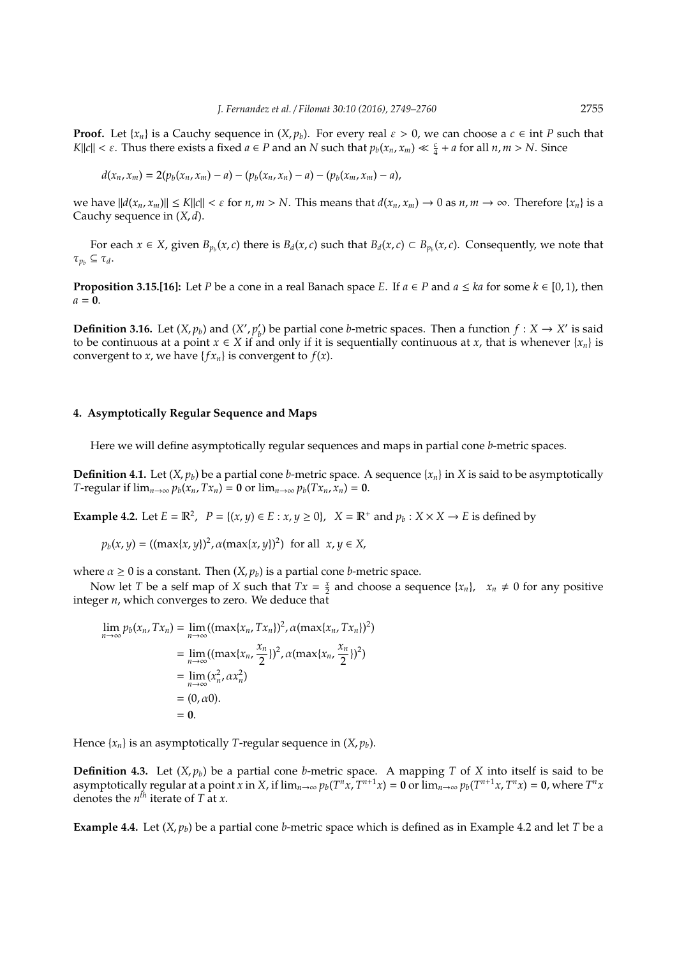**Proof.** Let  $\{x_n\}$  is a Cauchy sequence in  $(X, p_b)$ . For every real  $\varepsilon > 0$ , we can choose a  $c \in \text{int } P$  such that *K*||*c*||  $\lt \epsilon$ . Thus there exists a fixed  $a \in P$  and an  $N$  such that  $p_b(x_n, x_m) \ll \frac{c}{4} + a$  for all  $n, m > N$ . Since

$$
d(x_n, x_m) = 2(p_b(x_n, x_m) - a) - (p_b(x_n, x_n) - a) - (p_b(x_m, x_m) - a),
$$

we have  $||d(x_n, x_m)|| \le K||c|| < \varepsilon$  for  $n, m > N$ . This means that  $d(x_n, x_m) \to 0$  as  $n, m \to \infty$ . Therefore  $\{x_n\}$  is a Cauchy sequence in (*X*, *d*).

For each  $x \in X$ , given  $B_{p_b}(x,c)$  there is  $B_d(x,c)$  such that  $B_d(x,c) \subset B_{p_b}(x,c)$ . Consequently, we note that  $\tau_{p_b} \subseteq \tau_d$ .

**Proposition 3.15.[16]:** Let *P* be a cone in a real Banach space *E*. If  $a \in P$  and  $a \le ka$  for some  $k \in [0,1)$ , then  $a = 0$ .

**Definition 3.16.** Let  $(X, p_b)$  and  $(X', p'_b)$ *b*) be partial cone *b*-metric spaces. Then a function  $f : X \to X'$  is said to be continuous at a point  $x \in X$  if and only if it is sequentially continuous at *x*, that is whenever  $\{x_n\}$  is convergent to *x*, we have  ${f x_n}$  is convergent to  $f(x)$ .

#### **4. Asymptotically Regular Sequence and Maps**

Here we will define asymptotically regular sequences and maps in partial cone *b*-metric spaces.

**Definition 4.1.** Let  $(X, p_b)$  be a partial cone *b*-metric space. A sequence  $\{x_n\}$  in *X* is said to be asymptotically *T*-regular if  $\lim_{n\to\infty} p_b(x_n, Tx_n) = \mathbf{0}$  or  $\lim_{n\to\infty} p_b(Tx_n, x_n) = \mathbf{0}$ .

**Example 4.2.** Let  $E = \mathbb{R}^2$ ,  $P = \{(x, y) \in E : x, y \ge 0\}$ ,  $X = \mathbb{R}^+$  and  $p_b : X \times X \to E$  is defined by

$$
p_b(x, y) = ((\max\{x, y\})^2, \alpha(\max\{x, y\})^2)
$$
 for all  $x, y \in X$ ,

where  $\alpha \geq 0$  is a constant. Then  $(X, p_b)$  is a partial cone *b*-metric space.

Now let *T* be a self map of *X* such that  $Tx = \frac{x}{2}$  and choose a sequence  $\{x_n\}$ ,  $x_n \neq 0$  for any positive integer *n*, which converges to zero. We deduce that

$$
\lim_{n \to \infty} p_b(x_n, Tx_n) = \lim_{n \to \infty} ((\max\{x_n, Tx_n\})^2, \alpha(\max\{x_n, Tx_n\})^2)
$$
  
= 
$$
\lim_{n \to \infty} ((\max\{x_n, \frac{x_n}{2}\})^2, \alpha(\max\{x_n, \frac{x_n}{2}\})^2)
$$
  
= 
$$
\lim_{n \to \infty} (x_n^2, \alpha x_n^2)
$$
  
= (0,  $\alpha$ 0).  
= 0.

Hence  $\{x_n\}$  is an asymptotically *T*-regular sequence in  $(X, p_b)$ .

**Definition 4.3.** Let  $(X, p_b)$  be a partial cone *b*-metric space. A mapping *T* of *X* into itself is said to be asymptotically regular at a point x in X, if  $\lim_{n\to\infty}p_b(T^nx,T^{n+1}x)=\mathbf{0}$  or  $\lim_{n\to\infty}p_b(T^{n+1}x,T^nx)=\mathbf{0}$ , where  $T^nx$ denotes the  $n<sup>th</sup>$  iterate of *T* at *x*.

**Example 4.4.** Let  $(X, p_b)$  be a partial cone *b*-metric space which is defined as in Example 4.2 and let *T* be a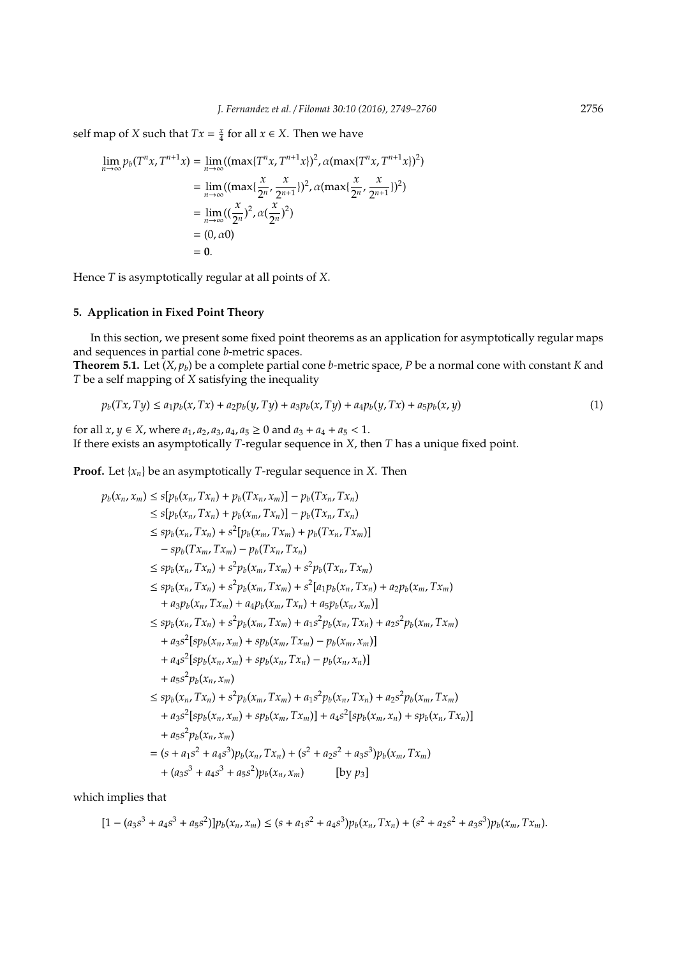self map of *X* such that  $Tx = \frac{x}{4}$  for all  $x \in X$ . Then we have

$$
\lim_{n \to \infty} p_b(T^n x, T^{n+1} x) = \lim_{n \to \infty} ((\max\{T^n x, T^{n+1} x\})^2, \alpha (\max\{T^n x, T^{n+1} x\})^2)
$$
  
= 
$$
\lim_{n \to \infty} ((\max\{\frac{x}{2^n}, \frac{x}{2^{n+1}}\})^2, \alpha (\max\{\frac{x}{2^n}, \frac{x}{2^{n+1}}\})^2)
$$
  
= 
$$
\lim_{n \to \infty} ((\frac{x}{2^n})^2, \alpha (\frac{x}{2^n})^2)
$$
  
= (0,  $\alpha$ 0)  
= 0.

Hence *T* is asymptotically regular at all points of *X*.

## **5. Application in Fixed Point Theory**

In this section, we present some fixed point theorems as an application for asymptotically regular maps and sequences in partial cone *b*-metric spaces.

**Theorem 5.1.** Let (*X*, *pb*) be a complete partial cone *b*-metric space, *P* be a normal cone with constant *K* and *T* be a self mapping of *X* satisfying the inequality

$$
p_b(Tx, Ty) \le a_1 p_b(x, Tx) + a_2 p_b(y, Ty) + a_3 p_b(x, Ty) + a_4 p_b(y, Tx) + a_5 p_b(x, y)
$$
\n(1)

for all  $x, y \in X$ , where  $a_1, a_2, a_3, a_4, a_5 \ge 0$  and  $a_3 + a_4 + a_5 < 1$ . If there exists an asymptotically *T*-regular sequence in *X*, then *T* has a unique fixed point.

**Proof.** Let {*xn*} be an asymptotically *T*-regular sequence in *X*. Then

$$
p_b(x_n, x_m) \leq s[p_b(x_n, Tx_n) + p_b(Tx_n, x_m)] - p_b(Tx_n, Tx_n)
$$
  
\n
$$
\leq s[p_b(x_n, Tx_n) + p_b(x_m, Tx_n)] - p_b(Tx_n, Tx_n)
$$
  
\n
$$
\leq sp_b(x_n, Tx_n) + s^2[p_b(x_m, Tx_m) + p_b(Tx_n, Tx_m)]
$$
  
\n
$$
- sp_b(Tx_m, Tx_m) - p_b(Tx_n, Tx_n)
$$
  
\n
$$
\leq sp_b(x_n, Tx_n) + s^2p_b(x_m, Tx_m) + s^2p_b(Tx_n, Tx_m)
$$
  
\n
$$
\leq sp_b(x_n, Tx_n) + s^2p_b(x_m, Tx_m) + s^2[a_1p_b(x_n, Tx_n) + a_2p_b(x_m, Tx_m)
$$
  
\n
$$
+ a_3p_b(x_n, Tx_m) + a_4p_b(x_m, Tx_n) + a_5p_b(x_n, Tx_n) + a_2s^2p_b(x_m, Tx_m)
$$
  
\n
$$
+ a_3s^2[sp_b(x_n, x_m) + sp_b(x_m, Tx_m) - p_b(x_m, x_m)]
$$
  
\n
$$
+ a_4s^2[sp_b(x_n, x_m) + sp_b(x_n, Tx_n) - p_b(x_n, x_n)]
$$
  
\n
$$
+ a_5s^2p_b(x_n, x_m)
$$
  
\n
$$
\leq sp_b(x_n, Tx_n) + s^2p_b(x_m, Tx_m) + a_1s^2p_b(x_n, Tx_n) + a_2s^2p_b(x_m, Tx_m)
$$
  
\n
$$
+ a_3s^2[sp_b(x_n, x_m) + sp_b(x_m, Tx_m)] + a_4s^2[sp_b(x_n, x_n) + sp_b(x_n, Tx_n)]
$$
  
\n
$$
+ a_5s^2p_b(x_n, x_m)
$$
  
\n
$$
= (s + a_1s^2 + a_4s^3)p_b(x_n, Tx_n) + (s^2 + a_2s^2 + a_3s^3)p_b(x_m, Tx_m)
$$
  
\n
$$
+ (a_3s^3 + a_4s^3 + a_5s^2)p_b(x_n, x_m)
$$
 [by p3]

which implies that

$$
[1 - (a_3s^3 + a_4s^3 + a_5s^2)]p_b(x_n, x_m) \le (s + a_1s^2 + a_4s^3)p_b(x_n, Tx_n) + (s^2 + a_2s^2 + a_3s^3)p_b(x_m, Tx_m).
$$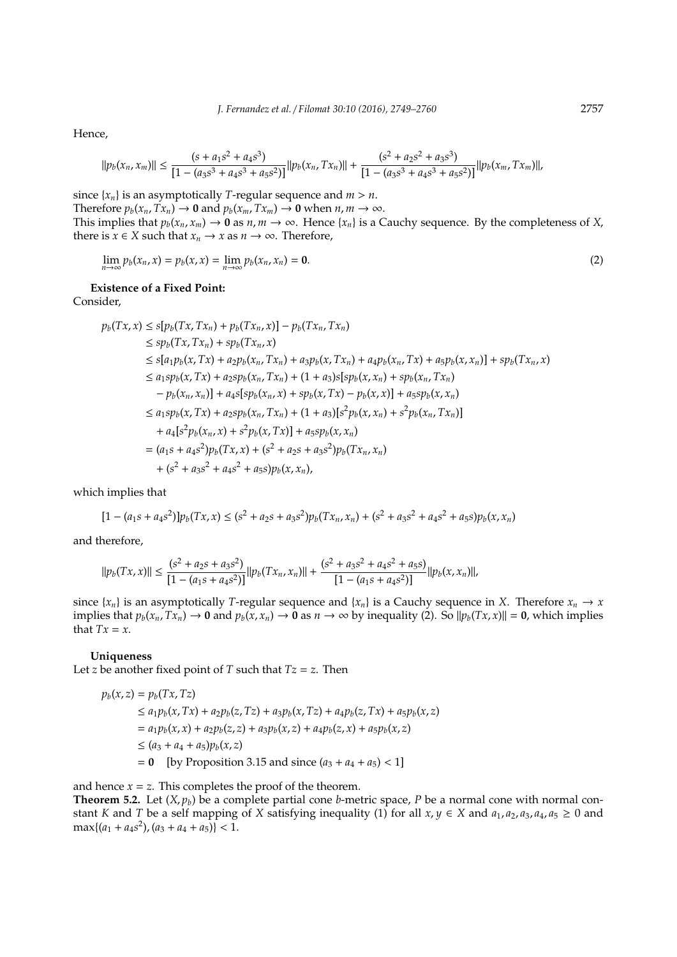Hence,

$$
||p_b(x_n, x_m)|| \le \frac{(s + a_1 s^2 + a_4 s^3)}{[1 - (a_3 s^3 + a_4 s^3 + a_5 s^2)]} ||p_b(x_n, Tx_n)|| + \frac{(s^2 + a_2 s^2 + a_3 s^3)}{[1 - (a_3 s^3 + a_4 s^3 + a_5 s^2)]} ||p_b(x_m, Tx_m)||
$$

since  $\{x_n\}$  is an asymptotically *T*-regular sequence and  $m > n$ . Therefore  $p_b(x_n, Tx_n) \to \mathbf{0}$  and  $p_b(x_m, Tx_m) \to \mathbf{0}$  when  $n, m \to \infty$ . This implies that  $p_b(x_n, x_m) \to \mathbf{0}$  as  $n, m \to \infty$ . Hence  $\{x_n\}$  is a Cauchy sequence. By the completeness of *X*, there is *x* ∈ *X* such that  $x_n \to x$  as  $n \to \infty$ . Therefore,

$$
\lim_{n \to \infty} p_b(x_n, x) = p_b(x, x) = \lim_{n \to \infty} p_b(x_n, x_n) = \mathbf{0}.
$$
 (2)

**Existence of a Fixed Point:**

Consider,

$$
p_b(Tx, x) \leq s[p_b(Tx, Tx_n) + p_b(Tx_n, x)] - p_b(Tx_n, Tx_n)
$$
  
\n
$$
\leq sp_b(Tx, Tx_n) + sp_b(Tx_n, x)
$$
  
\n
$$
\leq s[a_1p_b(x, Tx) + a_2p_b(x_n, Tx_n) + a_3p_b(x, Tx_n) + a_4p_b(x_n, Tx) + a_5p_b(x, x_n)] + sp_b(Tx_n, x)
$$
  
\n
$$
\leq a_1sp_b(x, Tx) + a_2sp_b(x_n, Tx_n) + (1 + a_3)s[sp_b(x, x_n) + sp_b(x_n, Tx_n)
$$
  
\n
$$
- p_b(x_n, x_n)] + a_4s[sp_b(x_n, x) + sp_b(x, Tx) - p_b(x, x)] + a_5sp_b(x, x_n)
$$
  
\n
$$
\leq a_1sp_b(x, Tx) + a_2sp_b(x_n, Tx_n) + (1 + a_3)[s^2p_b(x, x_n) + s^2p_b(x_n, Tx_n)]
$$
  
\n
$$
+ a_4[s^2p_b(x_n, x) + s^2p_b(x, Tx)] + a_5sp_b(x, x_n)
$$
  
\n
$$
= (a_1s + a_4s^2)p_b(Tx, x) + (s^2 + a_2s + a_3s^2)p_b(Tx_n, x_n)
$$
  
\n
$$
+ (s^2 + a_3s^2 + a_4s^2 + a_5s)p_b(x, x_n),
$$

which implies that

$$
[1 - (a_1s + a_4s^2)]p_b(Tx, x) \le (s^2 + a_2s + a_3s^2)p_b(Tx_n, x_n) + (s^2 + a_3s^2 + a_4s^2 + a_5s)p_b(x, x_n)
$$

and therefore,

$$
||p_b(Tx,x)|| \le \frac{(s^2 + a_2s + a_3s^2)}{[1 - (a_1s + a_4s^2)]} ||p_b(Tx_n, x_n)|| + \frac{(s^2 + a_3s^2 + a_4s^2 + a_5s)}{[1 - (a_1s + a_4s^2)]} ||p_b(x, x_n)||,
$$

since  $\{x_n\}$  is an asymptotically *T*-regular sequence and  $\{x_n\}$  is a Cauchy sequence in *X*. Therefore  $x_n \to x$ implies that  $p_b(x_n, Tx_n) \to 0$  and  $p_b(x, x_n) \to 0$  as  $n \to \infty$  by inequality (2). So  $||p_b(Tx, x)|| = 0$ , which implies that  $Tx = x$ .

**Uniqueness**

Let *z* be another fixed point of *T* such that  $Tz = z$ . Then

$$
p_b(x, z) = p_b(Tx, Tz)
$$
  
\n
$$
\le a_1 p_b(x, Tx) + a_2 p_b(z, Tz) + a_3 p_b(x, Tz) + a_4 p_b(z, Tx) + a_5 p_b(x, z)
$$
  
\n
$$
= a_1 p_b(x, x) + a_2 p_b(z, z) + a_3 p_b(x, z) + a_4 p_b(z, x) + a_5 p_b(x, z)
$$
  
\n
$$
\le (a_3 + a_4 + a_5) p_b(x, z)
$$
  
\n
$$
= 0 \quad \text{[by Proposition 3.15 and since } (a_3 + a_4 + a_5) < 1]
$$

and hence  $x = z$ . This completes the proof of the theorem.

**Theorem 5.2.** Let  $(X, p_b)$  be a complete partial cone *b*-metric space, *P* be a normal cone with normal constant *K* and *T* be a self mapping of *X* satisfying inequality (1) for all  $x, y \in X$  and  $a_1, a_2, a_3, a_4, a_5 \ge 0$  and  $\max\{(a_1 + a_4s^2), (a_3 + a_4 + a_5)\} < 1.$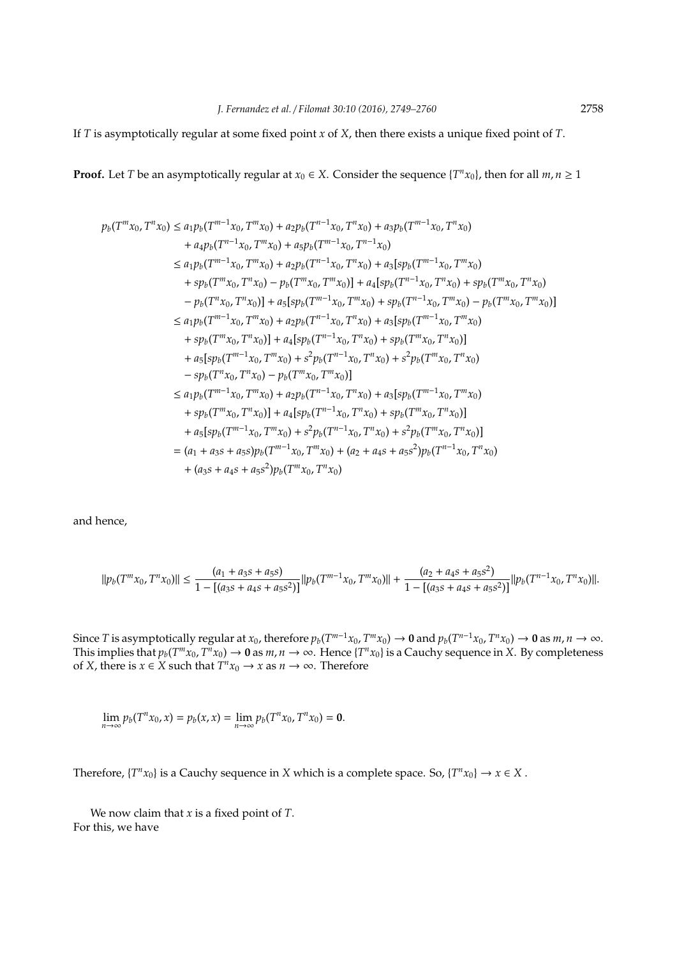If *T* is asymptotically regular at some fixed point *x* of *X*, then there exists a unique fixed point of *T*.

**Proof.** Let *T* be an asymptotically regular at  $x_0 \in X$ . Consider the sequence  $\{T^n x_0\}$ , then for all  $m, n \ge 1$ 

$$
p_b(T^m x_0, T^n x_0) \le a_1 p_b(T^{m-1} x_0, T^m x_0) + a_2 p_b(T^{n-1} x_0, T^n x_0) + a_3 p_b(T^{m-1} x_0, T^n x_0)
$$
  
\n
$$
+ a_4 p_b(T^{m-1} x_0, T^m x_0) + a_5 p_b(T^{m-1} x_0, T^{n-1} x_0)
$$
  
\n
$$
\le a_1 p_b(T^{m-1} x_0, T^m x_0) + a_2 p_b(T^{n-1} x_0, T^n x_0) + a_3 [s p_b(T^{m-1} x_0, T^m x_0)
$$
  
\n
$$
+ s p_b(T^m x_0, T^n x_0) - p_b(T^m x_0, T^m x_0)] + a_4 [s p_b(T^{n-1} x_0, T^n x_0) + s p_b(T^m x_0, T^n x_0)
$$
  
\n
$$
- p_b(T^n x_0, T^n x_0)] + a_5 [s p_b(T^{m-1} x_0, T^n x_0) + s p_b(T^{m-1} x_0, T^m x_0) - p_b(T^m x_0, T^m x_0)]
$$
  
\n
$$
\le a_1 p_b(T^{m-1} x_0, T^n x_0) + a_2 p_b(T^{n-1} x_0, T^n x_0) + a_3 [s p_b(T^{m-1} x_0, T^n x_0)
$$
  
\n
$$
+ s p_b(T^m x_0, T^n x_0)] + a_4 [s p_b(T^{n-1} x_0, T^n x_0) + s p_b(T^m x_0, T^n x_0)]
$$
  
\n
$$
+ a_5 [s p_b(T^{m-1} x_0, T^m x_0) + s^2 p_b(T^{n-1} x_0, T^n x_0) + s^2 p_b(T^m x_0, T^n x_0)
$$
  
\n
$$
- s p_b(T^n x_0, T^n x_0) + a_2 p_b(T^{m-1} x_0, T^n x_0) + a_3 [s p_b(T^{m-1} x_0, T^n x_0)
$$
  
\n
$$
+ s p_b(T^{m-1} x_0, T^n x_0) + a_2 p_b(T^{n-1} x_0, T^n x_0) + s^2 p_b(T^{
$$

and hence,

$$
||p_b(T^m x_0, T^n x_0)|| \le \frac{(a_1 + a_3 s + a_5 s)}{1 - [(a_3 s + a_4 s + a_5 s^2)]} ||p_b(T^{m-1} x_0, T^m x_0)|| + \frac{(a_2 + a_4 s + a_5 s^2)}{1 - [(a_3 s + a_4 s + a_5 s^2)]} ||p_b(T^{n-1} x_0, T^n x_0)||.
$$

Since T is asymptotically regular at  $x_0$ , therefore  $p_b(T^{m-1}x_0, T^m x_0) \to 0$  and  $p_b(T^{n-1}x_0, T^n x_0) \to 0$  as  $m, n \to \infty$ . This implies that  $p_b(T^m x_0, T^n x_0) \to 0$  as  $m, n \to \infty$ . Hence  $\{T^n x_0\}$  is a Cauchy sequence in *X*. By completeness of *X*, there is  $x \in X$  such that  $T^n x_0 \to x$  as  $n \to \infty$ . Therefore

$$
\lim_{n \to \infty} p_b(T^n x_0, x) = p_b(x, x) = \lim_{n \to \infty} p_b(T^n x_0, T^n x_0) = \mathbf{0}.
$$

Therefore,  ${T^n x_0}$  is a Cauchy sequence in *X* which is a complete space. So,  ${T^n x_0} \rightarrow x \in X$ .

We now claim that *x* is a fixed point of *T*. For this, we have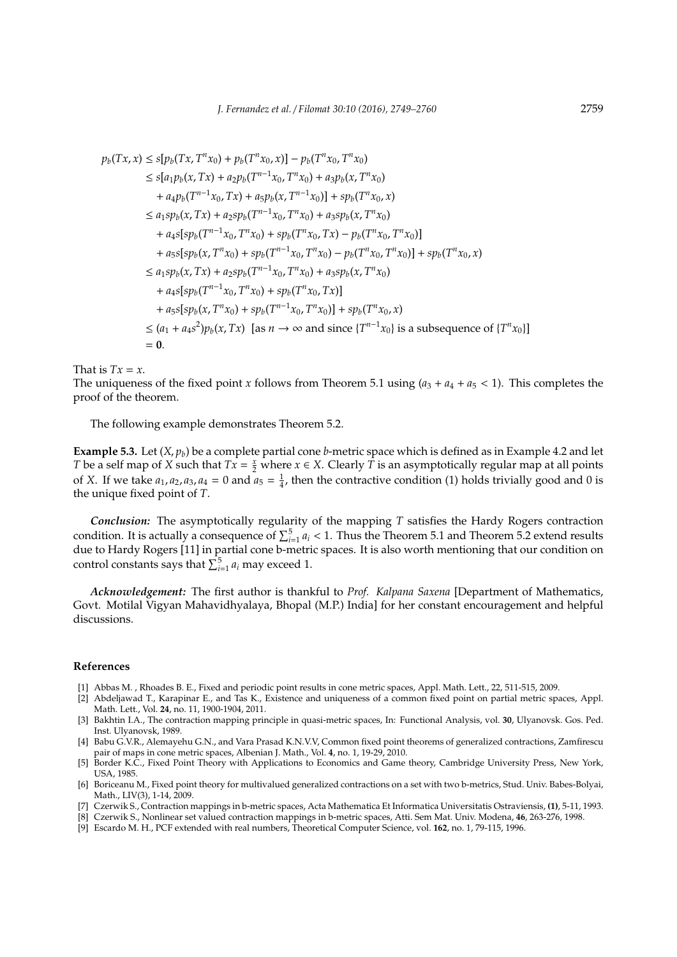$$
p_b(Tx, x) \leq s[p_b(Tx, T^n x_0) + p_b(T^n x_0, x)] - p_b(T^n x_0, T^n x_0)
$$
  
\n
$$
\leq s[a_1p_b(x, Tx) + a_2p_b(T^{n-1}x_0, T^n x_0) + a_3p_b(x, T^n x_0)
$$
  
\n
$$
+ a_4p_b(T^{n-1}x_0, Tx) + a_5p_b(x, T^{n-1}x_0)] + sp_b(T^n x_0, x)
$$
  
\n
$$
\leq a_1sp_b(x, Tx) + a_2sp_b(T^{n-1}x_0, T^n x_0) + a_3sp_b(x, T^n x_0)
$$
  
\n
$$
+ a_4s[sp_b(T^{n-1}x_0, T^n x_0) + sp_b(T^n x_0, Tx) - p_b(T^n x_0, T^n x_0)]
$$
  
\n
$$
+ a_5s[sp_b(x, T^n x_0) + sp_b(T^{n-1}x_0, T^n x_0) - p_b(T^n x_0, T^n x_0)] + sp_b(T^n x_0, x)
$$
  
\n
$$
\leq a_1sp_b(x, Tx) + a_2sp_b(T^{n-1}x_0, T^n x_0) + a_3sp_b(x, T^n x_0)
$$
  
\n
$$
+ a_4s[sp_b(T^{n-1}x_0, T^n x_0) + sp_b(T^n x_0, Tx)]
$$
  
\n
$$
+ a_5s[sp_b(x, T^n x_0) + sp_b(T^{n-1}x_0, T^n x_0)] + sp_b(T^n x_0, x)
$$
  
\n
$$
\leq (a_1 + a_4s^2)p_b(x, Tx) \text{ [as } n \to \infty \text{ and since } {T^{n-1}x_0} \text{ is a subsequence of } {T^n x_0}]
$$
  
\n= 0.

That is  $Tx = x$ .

The uniqueness of the fixed point *x* follows from Theorem 5.1 using  $(a_3 + a_4 + a_5 < 1)$ . This completes the proof of the theorem.

The following example demonstrates Theorem 5.2.

**Example 5.3.** Let (*X*, *pb*) be a complete partial cone *b*-metric space which is defined as in Example 4.2 and let *T* be a self map of *X* such that  $Tx = \frac{x}{2}$  where  $x \in X$ . Clearly  $\hat{T}$  is an asymptotically regular map at all points of *X*. If we take  $a_1$ ,  $a_2$ ,  $a_3$ ,  $a_4 = 0$  and  $a_5 = \frac{1}{4}$ , then the contractive condition (1) holds trivially good and 0 is the unique fixed point of *T*.

*Conclusion:* The asymptotically regularity of the mapping *T* satisfies the Hardy Rogers contraction condition. It is actually a consequence of  $\sum_{i=1}^{5} a_i < 1$ . Thus the Theorem 5.1 and Theorem 5.2 extend results due to Hardy Rogers [11] in partial cone b-metric spaces. It is also worth mentioning that our condition on control constants says that  $\sum_{i=1}^{5} a_i$  may exceed 1.

*Acknowledgement:* The first author is thankful to *Prof. Kalpana Saxena* [Department of Mathematics, Govt. Motilal Vigyan Mahavidhyalaya, Bhopal (M.P.) India] for her constant encouragement and helpful discussions.

### **References**

- [1] Abbas M. , Rhoades B. E., Fixed and periodic point results in cone metric spaces, Appl. Math. Lett., 22, 511-515, 2009.
- [2] Abdeljawad T., Karapinar E., and Tas K., Existence and uniqueness of a common fixed point on partial metric spaces, Appl. Math. Lett., Vol. **24**, no. 11, 1900-1904, 2011.
- [3] Bakhtin I.A., The contraction mapping principle in quasi-metric spaces, In: Functional Analysis, vol. **30**, Ulyanovsk. Gos. Ped. Inst. Ulyanovsk, 1989.
- [4] Babu G.V.R., Alemayehu G.N., and Vara Prasad K.N.V.V, Common fixed point theorems of generalized contractions, Zamfirescu pair of maps in cone metric spaces, Albenian J. Math., Vol. **4**, no. 1, 19-29, 2010.
- [5] Border K.C., Fixed Point Theory with Applications to Economics and Game theory, Cambridge University Press, New York, USA, 1985.
- [6] Boriceanu M., Fixed point theory for multivalued generalized contractions on a set with two b-metrics, Stud. Univ. Babes-Bolyai, Math., LIV(3), 1-14, 2009.
- [7] Czerwik S., Contraction mappings in b-metric spaces, Acta Mathematica Et Informatica Universitatis Ostraviensis, **(1)**, 5-11, 1993.
- [8] Czerwik S., Nonlinear set valued contraction mappings in b-metric spaces, Atti. Sem Mat. Univ. Modena, **46**, 263-276, 1998.
- [9] Escardo M. H., PCF extended with real numbers, Theoretical Computer Science, vol. **162**, no. 1, 79-115, 1996.